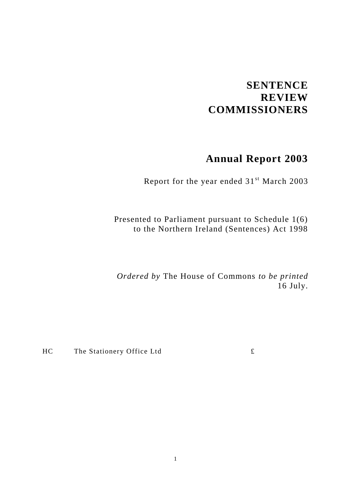# **SENTENCE REVIEW COMMISSIONERS**

# **Annual Report 2003**

Report for the year ended 31<sup>st</sup> March 2003

Presented to Parliament pursuant to Schedule 1(6) to the Northern Ireland (Sentences) Act 1998

*Ordered by* The House of Commons *to be printed* 16 July.

 $HC$  The Stationery Office Ltd  $\mathbf{\pounds}$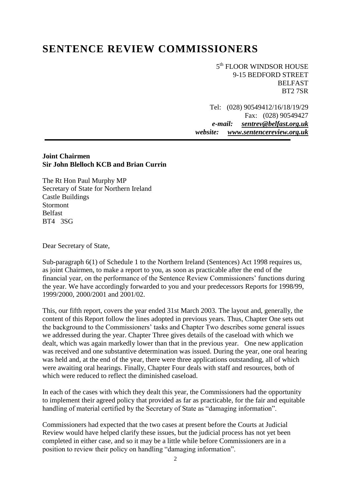# **SENTENCE REVIEW COMMISSIONERS**

5<sup>th</sup> FLOOR WINDSOR HOUSE 9-15 BEDFORD STREET BELFAST BT2 7SR

Tel: (028) 90549412/16/18/19/29 Fax: (028) 90549427 *e-mail: [sentrev@belfast.org.uk](mailto:sentrev@belfast.org.uk) website: [www.s](http://www.users.zetnet.co.uk/donanderson/)entencereview.org.uk*

#### **Joint Chairmen Sir John Blelloch KCB and Brian Currin**

The Rt Hon Paul Murphy MP Secretary of State for Northern Ireland Castle Buildings Stormont Belfast BT4 3SG

Dear Secretary of State,

Sub-paragraph 6(1) of Schedule 1 to the Northern Ireland (Sentences) Act 1998 requires us, as joint Chairmen, to make a report to you, as soon as practicable after the end of the financial year, on the performance of the Sentence Review Commissioners' functions during the year. We have accordingly forwarded to you and your predecessors Reports for 1998/99, 1999/2000, 2000/2001 and 2001/02.

This, our fifth report, covers the year ended 31st March 2003. The layout and, generally, the content of this Report follow the lines adopted in previous years. Thus, Chapter One sets out the background to the Commissioners' tasks and Chapter Two describes some general issues we addressed during the year. Chapter Three gives details of the caseload with which we dealt, which was again markedly lower than that in the previous year. One new application was received and one substantive determination was issued. During the year, one oral hearing was held and, at the end of the year, there were three applications outstanding, all of which were awaiting oral hearings. Finally, Chapter Four deals with staff and resources, both of which were reduced to reflect the diminished caseload.

In each of the cases with which they dealt this year, the Commissioners had the opportunity to implement their agreed policy that provided as far as practicable, for the fair and equitable handling of material certified by the Secretary of State as "damaging information".

Commissioners had expected that the two cases at present before the Courts at Judicial Review would have helped clarify these issues, but the judicial process has not yet been completed in either case, and so it may be a little while before Commissioners are in a position to review their policy on handling "damaging information".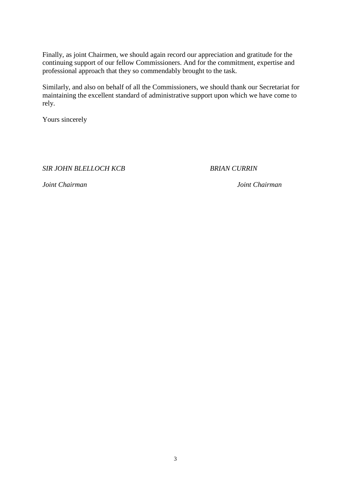Finally, as joint Chairmen, we should again record our appreciation and gratitude for the continuing support of our fellow Commissioners. And for the commitment, expertise and professional approach that they so commendably brought to the task.

Similarly, and also on behalf of all the Commissioners, we should thank our Secretariat for maintaining the excellent standard of administrative support upon which we have come to rely.

Yours sincerely

*SIR JOHN BLELLOCH KCB BRIAN CURRIN*

*Joint Chairman Joint Chairman*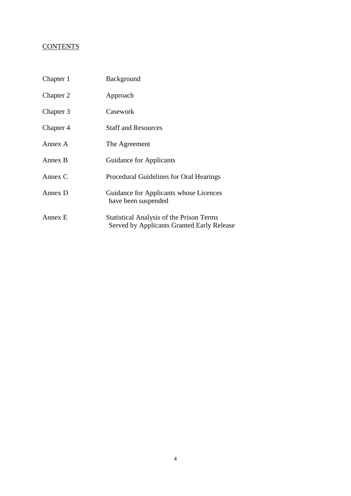#### **CONTENTS**

| Chapter 1 | Background                                                                                    |
|-----------|-----------------------------------------------------------------------------------------------|
| Chapter 2 | Approach                                                                                      |
| Chapter 3 | Casework                                                                                      |
| Chapter 4 | <b>Staff and Resources</b>                                                                    |
| Annex A   | The Agreement                                                                                 |
| Annex B   | <b>Guidance for Applicants</b>                                                                |
| Annex C   | Procedural Guidelines for Oral Hearings                                                       |
| Annex D   | Guidance for Applicants whose Licences<br>have been suspended                                 |
| Annex E   | <b>Statistical Analysis of the Prison Terms</b><br>Served by Applicants Granted Early Release |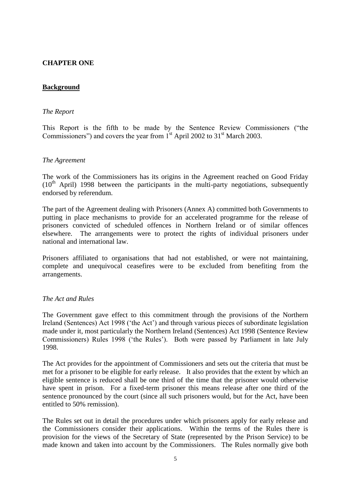#### **CHAPTER ONE**

#### **Background**

#### *The Report*

This Report is the fifth to be made by the Sentence Review Commissioners ("the Commissioners") and covers the year from  $1<sup>st</sup>$  April 2002 to 31 $<sup>st</sup>$  March 2003.</sup>

#### *The Agreement*

The work of the Commissioners has its origins in the Agreement reached on Good Friday  $(10<sup>th</sup>$  April) 1998 between the participants in the multi-party negotiations, subsequently endorsed by referendum.

The part of the Agreement dealing with Prisoners (Annex A) committed both Governments to putting in place mechanisms to provide for an accelerated programme for the release of prisoners convicted of scheduled offences in Northern Ireland or of similar offences elsewhere. The arrangements were to protect the rights of individual prisoners under national and international law.

Prisoners affiliated to organisations that had not established, or were not maintaining, complete and unequivocal ceasefires were to be excluded from benefiting from the arrangements.

#### *The Act and Rules*

The Government gave effect to this commitment through the provisions of the Northern Ireland (Sentences) Act 1998 ('the Act') and through various pieces of subordinate legislation made under it, most particularly the Northern Ireland (Sentences) Act 1998 (Sentence Review Commissioners) Rules 1998 ('the Rules'). Both were passed by Parliament in late July 1998.

The Act provides for the appointment of Commissioners and sets out the criteria that must be met for a prisoner to be eligible for early release. It also provides that the extent by which an eligible sentence is reduced shall be one third of the time that the prisoner would otherwise have spent in prison. For a fixed-term prisoner this means release after one third of the sentence pronounced by the court (since all such prisoners would, but for the Act, have been entitled to 50% remission).

The Rules set out in detail the procedures under which prisoners apply for early release and the Commissioners consider their applications. Within the terms of the Rules there is provision for the views of the Secretary of State (represented by the Prison Service) to be made known and taken into account by the Commissioners. The Rules normally give both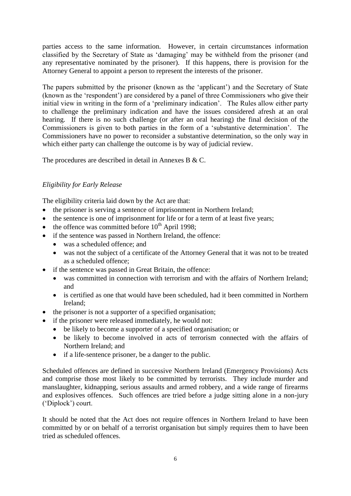parties access to the same information. However, in certain circumstances information classified by the Secretary of State as 'damaging' may be withheld from the prisoner (and any representative nominated by the prisoner). If this happens, there is provision for the Attorney General to appoint a person to represent the interests of the prisoner.

The papers submitted by the prisoner (known as the 'applicant') and the Secretary of State (known as the 'respondent') are considered by a panel of three Commissioners who give their initial view in writing in the form of a 'preliminary indication'. The Rules allow either party to challenge the preliminary indication and have the issues considered afresh at an oral hearing. If there is no such challenge (or after an oral hearing) the final decision of the Commissioners is given to both parties in the form of a 'substantive determination'. The Commissioners have no power to reconsider a substantive determination, so the only way in which either party can challenge the outcome is by way of judicial review.

The procedures are described in detail in Annexes B & C.

#### *Eligibility for Early Release*

The eligibility criteria laid down by the Act are that:

- the prisoner is serving a sentence of imprisonment in Northern Ireland;
- the sentence is one of imprisonment for life or for a term of at least five years;
- $\bullet$  the offence was committed before 10<sup>th</sup> April 1998;
- if the sentence was passed in Northern Ireland, the offence:
	- was a scheduled offence; and
	- was not the subject of a certificate of the Attorney General that it was not to be treated as a scheduled offence;
- if the sentence was passed in Great Britain, the offence:
	- was committed in connection with terrorism and with the affairs of Northern Ireland; and
	- is certified as one that would have been scheduled, had it been committed in Northern Ireland;
- the prisoner is not a supporter of a specified organisation;
- if the prisoner were released immediately, he would not:
	- be likely to become a supporter of a specified organisation; or
	- be likely to become involved in acts of terrorism connected with the affairs of Northern Ireland; and
	- if a life-sentence prisoner, be a danger to the public.

Scheduled offences are defined in successive Northern Ireland (Emergency Provisions) Acts and comprise those most likely to be committed by terrorists. They include murder and manslaughter, kidnapping, serious assaults and armed robbery, and a wide range of firearms and explosives offences. Such offences are tried before a judge sitting alone in a non-jury ('Diplock') court.

It should be noted that the Act does not require offences in Northern Ireland to have been committed by or on behalf of a terrorist organisation but simply requires them to have been tried as scheduled offences.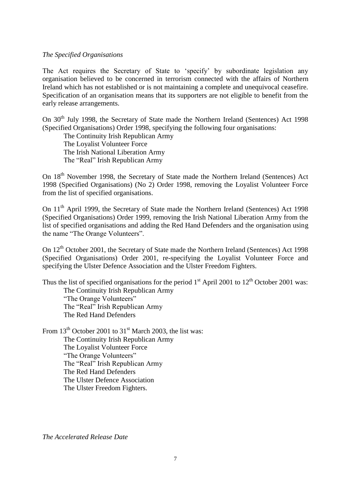#### *The Specified Organisations*

The Act requires the Secretary of State to 'specify' by subordinate legislation any organisation believed to be concerned in terrorism connected with the affairs of Northern Ireland which has not established or is not maintaining a complete and unequivocal ceasefire. Specification of an organisation means that its supporters are not eligible to benefit from the early release arrangements.

On 30<sup>th</sup> July 1998, the Secretary of State made the Northern Ireland (Sentences) Act 1998 (Specified Organisations) Order 1998, specifying the following four organisations:

The Continuity Irish Republican Army The Loyalist Volunteer Force The Irish National Liberation Army The "Real" Irish Republican Army

On 18<sup>th</sup> November 1998, the Secretary of State made the Northern Ireland (Sentences) Act 1998 (Specified Organisations) (No 2) Order 1998, removing the Loyalist Volunteer Force from the list of specified organisations.

On 11<sup>th</sup> April 1999, the Secretary of State made the Northern Ireland (Sentences) Act 1998 (Specified Organisations) Order 1999, removing the Irish National Liberation Army from the list of specified organisations and adding the Red Hand Defenders and the organisation using the name "The Orange Volunteers".

On 12<sup>th</sup> October 2001, the Secretary of State made the Northern Ireland (Sentences) Act 1998 (Specified Organisations) Order 2001, re-specifying the Loyalist Volunteer Force and specifying the Ulster Defence Association and the Ulster Freedom Fighters.

Thus the list of specified organisations for the period  $1<sup>st</sup>$  April 2001 to  $12<sup>th</sup>$  October 2001 was: The Continuity Irish Republican Army "The Orange Volunteers" The "Real" Irish Republican Army The Red Hand Defenders

From 13<sup>th</sup> October 2001 to 31<sup>st</sup> March 2003, the list was: The Continuity Irish Republican Army The Loyalist Volunteer Force "The Orange Volunteers" The "Real" Irish Republican Army The Red Hand Defenders The Ulster Defence Association The Ulster Freedom Fighters.

*The Accelerated Release Date*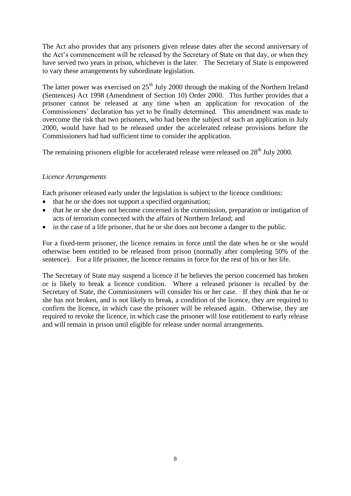The Act also provides that any prisoners given release dates after the second anniversary of the Act's commencement will be released by the Secretary of State on that day, or when they have served two years in prison, whichever is the later. The Secretary of State is empowered to vary these arrangements by subordinate legislation.

The latter power was exercised on  $25<sup>th</sup>$  July 2000 through the making of the Northern Ireland (Sentences) Act 1998 (Amendment of Section 10) Order 2000. This further provides that a prisoner cannot be released at any time when an application for revocation of the Commissioners' declaration has yet to be finally determined. This amendment was made to overcome the risk that two prisoners, who had been the subject of such an application in July 2000, would have had to be released under the accelerated release provisions before the Commissioners had had sufficient time to consider the application.

The remaining prisoners eligible for accelerated release were released on 28<sup>th</sup> July 2000.

#### *Licence Arrangements*

Each prisoner released early under the legislation is subject to the licence conditions:

- that he or she does not support a specified organisation;
- that he or she does not become concerned in the commission, preparation or instigation of acts of terrorism connected with the affairs of Northern Ireland; and
- in the case of a life prisoner, that he or she does not become a danger to the public.

For a fixed-term prisoner, the licence remains in force until the date when he or she would otherwise been entitled to be released from prison (normally after completing 50% of the sentence). For a life prisoner, the licence remains in force for the rest of his or her life.

The Secretary of State may suspend a licence if he believes the person concerned has broken or is likely to break a licence condition. Where a released prisoner is recalled by the Secretary of State, the Commissioners will consider his or her case. If they think that he or she has not broken, and is not likely to break, a condition of the licence, they are required to confirm the licence, in which case the prisoner will be released again. Otherwise, they are required to revoke the licence, in which case the prisoner will lose entitlement to early release and will remain in prison until eligible for release under normal arrangements.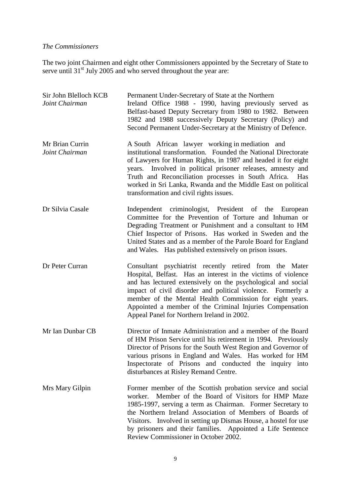#### *The Commissioners*

The two joint Chairmen and eight other Commissioners appointed by the Secretary of State to serve until 31<sup>st</sup> July 2005 and who served throughout the year are:

| Sir John Blelloch KCB<br>Joint Chairman | Permanent Under-Secretary of State at the Northern<br>Ireland Office 1988 - 1990, having previously served as<br>Belfast-based Deputy Secretary from 1980 to 1982. Between<br>1982 and 1988 successively Deputy Secretary (Policy) and<br>Second Permanent Under-Secretary at the Ministry of Defence.                                                                                                                       |
|-----------------------------------------|------------------------------------------------------------------------------------------------------------------------------------------------------------------------------------------------------------------------------------------------------------------------------------------------------------------------------------------------------------------------------------------------------------------------------|
| Mr Brian Currin<br>Joint Chairman       | A South African lawyer working in mediation and<br>institutional transformation. Founded the National Directorate<br>of Lawyers for Human Rights, in 1987 and headed it for eight<br>years. Involved in political prisoner releases, amnesty and<br>Truth and Reconciliation processes in South Africa.<br>Has<br>worked in Sri Lanka, Rwanda and the Middle East on political<br>transformation and civil rights issues.    |
| Dr Silvia Casale                        | Independent criminologist, President of the European<br>Committee for the Prevention of Torture and Inhuman or<br>Degrading Treatment or Punishment and a consultant to HM<br>Chief Inspector of Prisons. Has worked in Sweden and the<br>United States and as a member of the Parole Board for England<br>and Wales. Has published extensively on prison issues.                                                            |
| Dr Peter Curran                         | Consultant psychiatrist recently retired from the Mater<br>Hospital, Belfast. Has an interest in the victims of violence<br>and has lectured extensively on the psychological and social<br>impact of civil disorder and political violence. Formerly a<br>member of the Mental Health Commission for eight years.<br>Appointed a member of the Criminal Injuries Compensation<br>Appeal Panel for Northern Ireland in 2002. |
| Mr Ian Dunbar CB                        | Director of Inmate Administration and a member of the Board<br>of HM Prison Service until his retirement in 1994. Previously<br>Director of Prisons for the South West Region and Governor of<br>various prisons in England and Wales. Has worked for HM<br>Inspectorate of Prisons and conducted the inquiry into<br>disturbances at Risley Remand Centre.                                                                  |
| Mrs Mary Gilpin                         | Former member of the Scottish probation service and social<br>Member of the Board of Visitors for HMP Maze<br>worker.<br>1985-1997, serving a term as Chairman. Former Secretary to<br>the Northern Ireland Association of Members of Boards of<br>Visitors. Involved in setting up Dismas House, a hostel for use<br>by prisoners and their families. Appointed a Life Sentence<br>Review Commissioner in October 2002.     |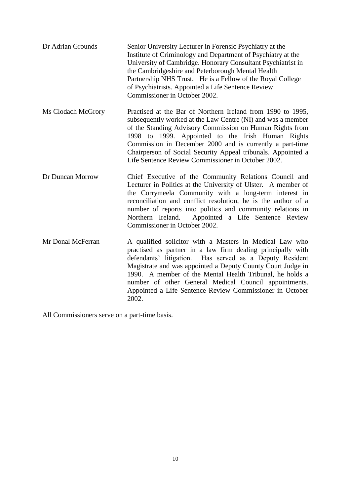| Dr Adrian Grounds  | Senior University Lecturer in Forensic Psychiatry at the<br>Institute of Criminology and Department of Psychiatry at the<br>University of Cambridge. Honorary Consultant Psychiatrist in<br>the Cambridgeshire and Peterborough Mental Health<br>Partnership NHS Trust. He is a Fellow of the Royal College<br>of Psychiatrists. Appointed a Life Sentence Review<br>Commissioner in October 2002.                                         |
|--------------------|--------------------------------------------------------------------------------------------------------------------------------------------------------------------------------------------------------------------------------------------------------------------------------------------------------------------------------------------------------------------------------------------------------------------------------------------|
| Ms Clodach McGrory | Practised at the Bar of Northern Ireland from 1990 to 1995,<br>subsequently worked at the Law Centre (NI) and was a member<br>of the Standing Advisory Commission on Human Rights from<br>1998 to 1999. Appointed to the Irish Human Rights<br>Commission in December 2000 and is currently a part-time<br>Chairperson of Social Security Appeal tribunals. Appointed a<br>Life Sentence Review Commissioner in October 2002.              |
| Dr Duncan Morrow   | Chief Executive of the Community Relations Council and<br>Lecturer in Politics at the University of Ulster. A member of<br>the Corrymeela Community with a long-term interest in<br>reconciliation and conflict resolution, he is the author of a<br>number of reports into politics and community relations in<br>Northern Ireland.<br>Appointed a Life Sentence Review<br>Commissioner in October 2002.                                  |
| Mr Donal McFerran  | A qualified solicitor with a Masters in Medical Law who<br>practised as partner in a law firm dealing principally with<br>defendants' litigation. Has served as a Deputy Resident<br>Magistrate and was appointed a Deputy County Court Judge in<br>1990. A member of the Mental Health Tribunal, he holds a<br>number of other General Medical Council appointments.<br>Appointed a Life Sentence Review Commissioner in October<br>2002. |

All Commissioners serve on a part-time basis.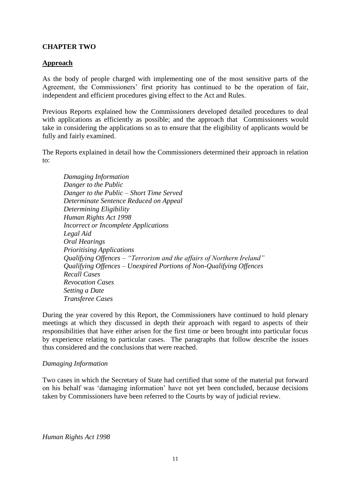#### **CHAPTER TWO**

#### **Approach**

As the body of people charged with implementing one of the most sensitive parts of the Agreement, the Commissioners' first priority has continued to be the operation of fair, independent and efficient procedures giving effect to the Act and Rules.

Previous Reports explained how the Commissioners developed detailed procedures to deal with applications as efficiently as possible; and the approach that Commissioners would take in considering the applications so as to ensure that the eligibility of applicants would be fully and fairly examined.

The Reports explained in detail how the Commissioners determined their approach in relation to:

*Damaging Information Danger to the Public Danger to the Public – Short Time Served Determinate Sentence Reduced on Appeal Determining Eligibility Human Rights Act 1998 Incorrect or Incomplete Applications Legal Aid Oral Hearings Prioritising Applications Qualifying Offences – "Terrorism and the affairs of Northern Ireland" Qualifying Offences – Unexpired Portions of Non-Qualifying Offences Recall Cases Revocation Cases Setting a Date Transferee Cases*

During the year covered by this Report, the Commissioners have continued to hold plenary meetings at which they discussed in depth their approach with regard to aspects of their responsibilities that have either arisen for the first time or been brought into particular focus by experience relating to particular cases. The paragraphs that follow describe the issues thus considered and the conclusions that were reached.

#### *Damaging Information*

Two cases in which the Secretary of State had certified that some of the material put forward on his behalf was 'damaging information' have not yet been concluded, because decisions taken by Commissioners have been referred to the Courts by way of judicial review.

*Human Rights Act 1998*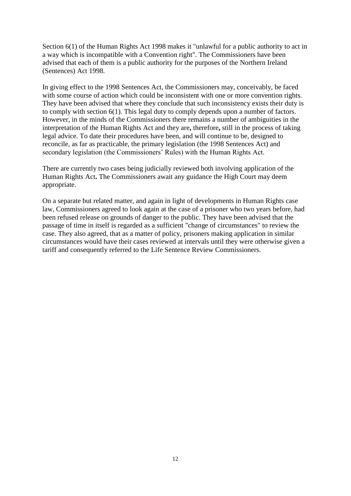Section 6(1) of the Human Rights Act 1998 makes it "unlawful for a public authority to act in a way which is incompatible with a Convention right". The Commissioners have been advised that each of them is a public authority for the purposes of the Northern Ireland (Sentences) Act 1998.

In giving effect to the 1998 Sentences Act, the Commissioners may, conceivably, be faced with some course of action which could be inconsistent with one or more convention rights. They have been advised that where they conclude that such inconsistency exists their duty is to comply with section 6(1). This legal duty to comply depends upon a number of factors. However, in the minds of the Commissioners there remains a number of ambiguities in the interpretation of the Human Rights Act and they are**,** therefore**,** still in the process of taking legal advice. To date their procedures have been, and will continue to be, designed to reconcile, as far as practicable, the primary legislation (the 1998 Sentences Act) and secondary legislation (the Commissioners' Rules) with the Human Rights Act.

There are currently two cases being judicially reviewed both involving application of the Human Rights Act**.** The Commissioners await any guidance the High Court may deem appropriate.

On a separate but related matter, and again in light of developments in Human Rights case law, Commissioners agreed to look again at the case of a prisoner who two years before, had been refused release on grounds of danger to the public. They have been advised that the passage of time in itself is regarded as a sufficient "change of circumstances" to review the case. They also agreed, that as a matter of policy, prisoners making application in similar circumstances would have their cases reviewed at intervals until they were otherwise given a tariff and consequently referred to the Life Sentence Review Commissioners.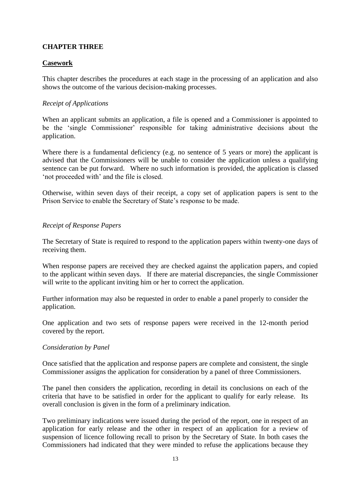#### **CHAPTER THREE**

#### **Casework**

This chapter describes the procedures at each stage in the processing of an application and also shows the outcome of the various decision-making processes.

#### *Receipt of Applications*

When an applicant submits an application, a file is opened and a Commissioner is appointed to be the 'single Commissioner' responsible for taking administrative decisions about the application.

Where there is a fundamental deficiency (e.g. no sentence of 5 years or more) the applicant is advised that the Commissioners will be unable to consider the application unless a qualifying sentence can be put forward. Where no such information is provided, the application is classed 'not proceeded with' and the file is closed.

Otherwise, within seven days of their receipt, a copy set of application papers is sent to the Prison Service to enable the Secretary of State's response to be made.

#### *Receipt of Response Papers*

The Secretary of State is required to respond to the application papers within twenty-one days of receiving them.

When response papers are received they are checked against the application papers, and copied to the applicant within seven days. If there are material discrepancies, the single Commissioner will write to the applicant inviting him or her to correct the application.

Further information may also be requested in order to enable a panel properly to consider the application.

One application and two sets of response papers were received in the 12-month period covered by the report.

#### *Consideration by Panel*

Once satisfied that the application and response papers are complete and consistent, the single Commissioner assigns the application for consideration by a panel of three Commissioners.

The panel then considers the application, recording in detail its conclusions on each of the criteria that have to be satisfied in order for the applicant to qualify for early release. Its overall conclusion is given in the form of a preliminary indication.

Two preliminary indications were issued during the period of the report, one in respect of an application for early release and the other in respect of an application for a review of suspension of licence following recall to prison by the Secretary of State. In both cases the Commissioners had indicated that they were minded to refuse the applications because they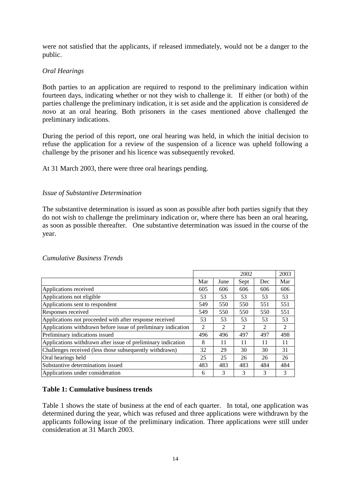were not satisfied that the applicants, if released immediately, would not be a danger to the public.

#### *Oral Hearings*

Both parties to an application are required to respond to the preliminary indication within fourteen days, indicating whether or not they wish to challenge it. If either (or both) of the parties challenge the preliminary indication, it is set aside and the application is considered *de novo* at an oral hearing. Both prisoners in the cases mentioned above challenged the preliminary indications.

During the period of this report, one oral hearing was held, in which the initial decision to refuse the application for a review of the suspension of a licence was upheld following a challenge by the prisoner and his licence was subsequently revoked.

At 31 March 2003, there were three oral hearings pending.

#### *Issue of Substantive Determination*

The substantive determination is issued as soon as possible after both parties signify that they do not wish to challenge the preliminary indication or, where there has been an oral hearing, as soon as possible thereafter. One substantive determination was issued in the course of the year.

|                                                               |     | 2002 |                |                |     |
|---------------------------------------------------------------|-----|------|----------------|----------------|-----|
|                                                               | Mar | June | Sept           | Dec            | Mar |
| Applications received                                         | 605 | 606  | 606            | 606            | 606 |
| Applications not eligible                                     | 53  | 53   | 53             | 53             | 53  |
| Applications sent to respondent                               | 549 | 550  | 550            | 551            | 551 |
| Responses received                                            | 549 | 550  | 550            | 550            | 551 |
| Applications not proceeded with after response received       | 53  | 53   | 53             | 53             | 53  |
| Applications withdrawn before issue of preliminary indication | 2   | 2    | $\mathfrak{D}$ | $\mathfrak{D}$ | 2   |
| Preliminary indications issued                                | 496 | 496  | 497            | 497            | 498 |
| Applications withdrawn after issue of preliminary indication  | 8   | 11   | 11             | 11             | 11  |
| Challenges received (less those subsequently withdrawn)       | 32  | 29   | 30             | 30             | 31  |
| Oral hearings held                                            | 25  | 25   | 26             | 26             | 26  |
| Substantive determinations issued                             | 483 | 483  | 483            | 484            | 484 |
| Applications under consideration                              | 6   | 3    | 3              | 3              | 3   |

#### *Cumulative Business Trends*

#### **Table 1: Cumulative business trends**

Table 1 shows the state of business at the end of each quarter. In total, one application was determined during the year, which was refused and three applications were withdrawn by the applicants following issue of the preliminary indication. Three applications were still under consideration at 31 March 2003.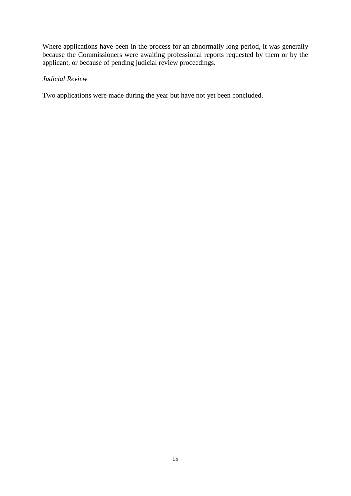Where applications have been in the process for an abnormally long period, it was generally because the Commissioners were awaiting professional reports requested by them or by the applicant, or because of pending judicial review proceedings.

#### *Judicial Review*

Two applications were made during the year but have not yet been concluded.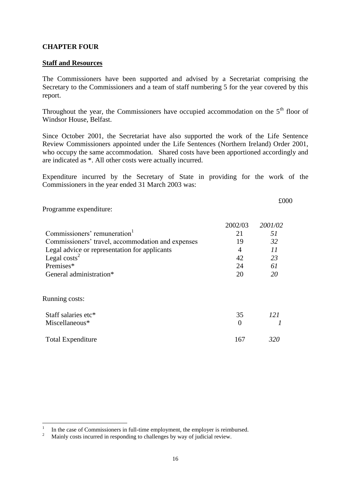#### **CHAPTER FOUR**

#### **Staff and Resources**

The Commissioners have been supported and advised by a Secretariat comprising the Secretary to the Commissioners and a team of staff numbering 5 for the year covered by this report.

Throughout the year, the Commissioners have occupied accommodation on the 5<sup>th</sup> floor of Windsor House, Belfast.

Since October 2001, the Secretariat have also supported the work of the Life Sentence Review Commissioners appointed under the Life Sentences (Northern Ireland) Order 2001, who occupy the same accommodation. Shared costs have been apportioned accordingly and are indicated as \*. All other costs were actually incurred.

Expenditure incurred by the Secretary of State in providing for the work of the Commissioners in the year ended 31 March 2003 was:

£000

Programme expenditure:

-

|                                                   | 2002/03        | 2001/02    |
|---------------------------------------------------|----------------|------------|
| Commissioners' remuneration <sup>1</sup>          | 21             | 51         |
| Commissioners' travel, accommodation and expenses | 19             | 32         |
| Legal advice or representation for applicants     | $\overline{A}$ | 11         |
| Legal $costs2$                                    | 42             | 23         |
| Premises*                                         | 24             | 61         |
| General administration*                           | 20             | 20         |
|                                                   |                |            |
| <b>Running costs:</b>                             |                |            |
| Staff salaries etc*                               | 35             | <i>121</i> |
| Miscellaneous*                                    | $\Omega$       |            |
| <b>Total Expenditure</b>                          | 167            | 320        |

<sup>1</sup> In the case of Commissioners in full-time employment, the employer is reimbursed.

<sup>2</sup> Mainly costs incurred in responding to challenges by way of judicial review.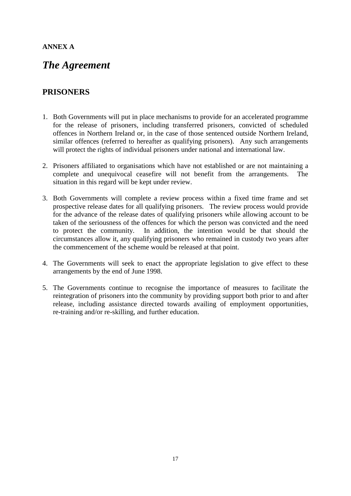#### **ANNEX A**

# *The Agreement*

### **PRISONERS**

- 1. Both Governments will put in place mechanisms to provide for an accelerated programme for the release of prisoners, including transferred prisoners, convicted of scheduled offences in Northern Ireland or, in the case of those sentenced outside Northern Ireland, similar offences (referred to hereafter as qualifying prisoners). Any such arrangements will protect the rights of individual prisoners under national and international law.
- 2. Prisoners affiliated to organisations which have not established or are not maintaining a complete and unequivocal ceasefire will not benefit from the arrangements. The situation in this regard will be kept under review.
- 3. Both Governments will complete a review process within a fixed time frame and set prospective release dates for all qualifying prisoners. The review process would provide for the advance of the release dates of qualifying prisoners while allowing account to be taken of the seriousness of the offences for which the person was convicted and the need to protect the community. In addition, the intention would be that should the circumstances allow it, any qualifying prisoners who remained in custody two years after the commencement of the scheme would be released at that point.
- 4. The Governments will seek to enact the appropriate legislation to give effect to these arrangements by the end of June 1998.
- 5. The Governments continue to recognise the importance of measures to facilitate the reintegration of prisoners into the community by providing support both prior to and after release, including assistance directed towards availing of employment opportunities, re-training and/or re-skilling, and further education.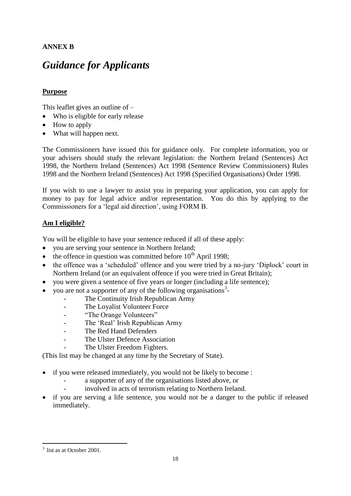#### **ANNEX B**

# *Guidance for Applicants*

#### **Purpose**

This leaflet gives an outline of –

- Who is eligible for early release
- How to apply
- What will happen next.

The Commissioners have issued this for guidance only. For complete information, you or your advisers should study the relevant legislation: the Northern Ireland (Sentences) Act 1998, the Northern Ireland (Sentences) Act 1998 (Sentence Review Commissioners) Rules 1998 and the Northern Ireland (Sentences) Act 1998 (Specified Organisations) Order 1998.

If you wish to use a lawyer to assist you in preparing your application, you can apply for money to pay for legal advice and/or representation. You do this by applying to the Commissioners for a 'legal aid direction', using FORM B.

#### **Am I eligible?**

You will be eligible to have your sentence reduced if all of these apply:

- you are serving your sentence in Northern Ireland;
- $\bullet$  the offence in question was committed before 10<sup>th</sup> April 1998;
- the offence was a 'scheduled' offence and you were tried by a no-jury 'Diplock' court in Northern Ireland (or an equivalent offence if you were tried in Great Britain);
- you were given a sentence of five years or longer (including a life sentence);
- you are not a supporter of any of the following organisations<sup>3</sup>-
	- The Continuity Irish Republican Army
	- The Loyalist Volunteer Force
	- "The Orange Volunteers"
	- The 'Real' Irish Republican Army
	- The Red Hand Defenders
	- The Ulster Defence Association
	- The Ulster Freedom Fighters.

(This list may be changed at any time by the Secretary of State).

- if you were released immediately, you would not be likely to become :
	- a supporter of any of the organisations listed above, or
	- involved in acts of terrorism relating to Northern Ireland.
- if you are serving a life sentence, you would not be a danger to the public if released immediately.

1

 $3$  list as at October 2001.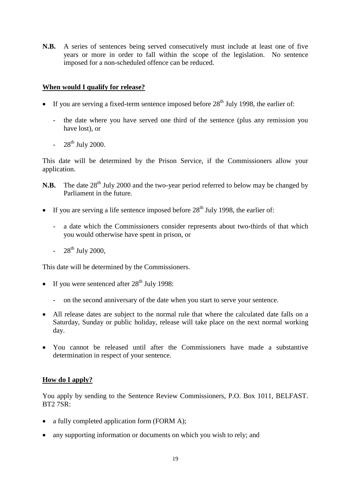**N.B.** A series of sentences being served consecutively must include at least one of five years or more in order to fall within the scope of the legislation. No sentence imposed for a non-scheduled offence can be reduced.

#### **When would I qualify for release?**

- If you are serving a fixed-term sentence imposed before  $28<sup>th</sup>$  July 1998, the earlier of:
	- the date where you have served one third of the sentence (plus any remission you have lost), or
	- $-28^{th}$  July 2000.

This date will be determined by the Prison Service, if the Commissioners allow your application.

- **N.B.** The date 28<sup>th</sup> July 2000 and the two-year period referred to below may be changed by Parliament in the future.
- If you are serving a life sentence imposed before  $28<sup>th</sup>$  July 1998, the earlier of:
	- a date which the Commissioners consider represents about two-thirds of that which you would otherwise have spent in prison, or
	- $-28^{th}$  July 2000.

This date will be determined by the Commissioners.

- If you were sentenced after  $28<sup>th</sup>$  July 1998:
	- on the second anniversary of the date when you start to serve your sentence.
- All release dates are subject to the normal rule that where the calculated date falls on a Saturday, Sunday or public holiday, release will take place on the next normal working day.
- You cannot be released until after the Commissioners have made a substantive determination in respect of your sentence.

#### **How do I apply?**

You apply by sending to the Sentence Review Commissioners, P.O. Box 1011, BELFAST. BT2 7SR:

- a fully completed application form (FORM A);
- any supporting information or documents on which you wish to rely; and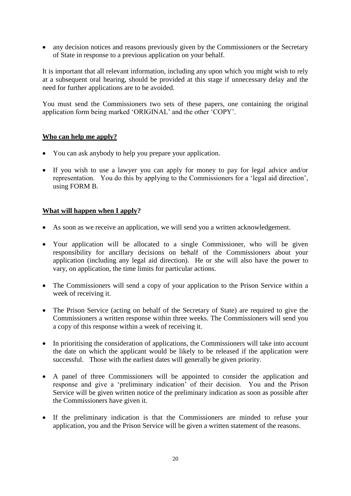• any decision notices and reasons previously given by the Commissioners or the Secretary of State in response to a previous application on your behalf.

It is important that all relevant information, including any upon which you might wish to rely at a subsequent oral hearing, should be provided at this stage if unnecessary delay and the need for further applications are to be avoided.

You must send the Commissioners two sets of these papers, one containing the original application form being marked 'ORIGINAL' and the other 'COPY'.

#### **Who can help me apply?**

- You can ask anybody to help you prepare your application.
- If you wish to use a lawyer you can apply for money to pay for legal advice and/or representation. You do this by applying to the Commissioners for a 'legal aid direction', using FORM B.

#### **What will happen when I apply?**

- As soon as we receive an application, we will send you a written acknowledgement.
- Your application will be allocated to a single Commissioner, who will be given responsibility for ancillary decisions on behalf of the Commissioners about your application (including any legal aid direction). He or she will also have the power to vary, on application, the time limits for particular actions.
- The Commissioners will send a copy of your application to the Prison Service within a week of receiving it.
- The Prison Service (acting on behalf of the Secretary of State) are required to give the Commissioners a written response within three weeks. The Commissioners will send you a copy of this response within a week of receiving it.
- In prioritising the consideration of applications, the Commissioners will take into account the date on which the applicant would be likely to be released if the application were successful. Those with the earliest dates will generally be given priority.
- A panel of three Commissioners will be appointed to consider the application and response and give a 'preliminary indication' of their decision. You and the Prison Service will be given written notice of the preliminary indication as soon as possible after the Commissioners have given it.
- If the preliminary indication is that the Commissioners are minded to refuse your application, you and the Prison Service will be given a written statement of the reasons.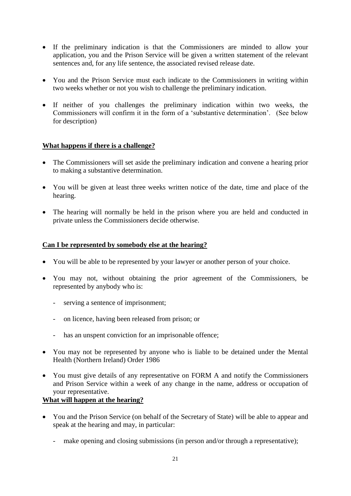- If the preliminary indication is that the Commissioners are minded to allow your application, you and the Prison Service will be given a written statement of the relevant sentences and, for any life sentence, the associated revised release date.
- You and the Prison Service must each indicate to the Commissioners in writing within two weeks whether or not you wish to challenge the preliminary indication.
- If neither of you challenges the preliminary indication within two weeks, the Commissioners will confirm it in the form of a 'substantive determination'. (See below for description)

#### **What happens if there is a challenge?**

- The Commissioners will set aside the preliminary indication and convene a hearing prior to making a substantive determination.
- You will be given at least three weeks written notice of the date, time and place of the hearing.
- The hearing will normally be held in the prison where you are held and conducted in private unless the Commissioners decide otherwise.

#### **Can I be represented by somebody else at the hearing?**

- You will be able to be represented by your lawyer or another person of your choice.
- You may not, without obtaining the prior agreement of the Commissioners, be represented by anybody who is:
	- serving a sentence of imprisonment;
	- on licence, having been released from prison; or
	- has an unspent conviction for an imprisonable offence;
- You may not be represented by anyone who is liable to be detained under the Mental Health (Northern Ireland) Order 1986
- You must give details of any representative on FORM A and notify the Commissioners and Prison Service within a week of any change in the name, address or occupation of your representative.

#### **What will happen at the hearing?**

- You and the Prison Service (on behalf of the Secretary of State) will be able to appear and speak at the hearing and may, in particular:
	- make opening and closing submissions (in person and/or through a representative);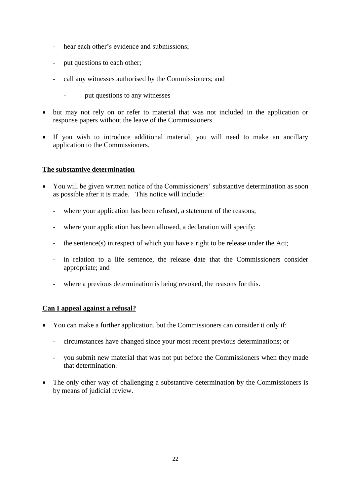- hear each other's evidence and submissions;
- put questions to each other;
- call any witnesses authorised by the Commissioners; and
	- put questions to any witnesses
- but may not rely on or refer to material that was not included in the application or response papers without the leave of the Commissioners.
- If you wish to introduce additional material, you will need to make an ancillary application to the Commissioners.

#### **The substantive determination**

- You will be given written notice of the Commissioners' substantive determination as soon as possible after it is made. This notice will include:
	- where your application has been refused, a statement of the reasons;
	- where your application has been allowed, a declaration will specify:
	- the sentence(s) in respect of which you have a right to be release under the Act;
	- in relation to a life sentence, the release date that the Commissioners consider appropriate; and
	- where a previous determination is being revoked, the reasons for this.

#### **Can I appeal against a refusal?**

- You can make a further application, but the Commissioners can consider it only if:
	- circumstances have changed since your most recent previous determinations; or
	- you submit new material that was not put before the Commissioners when they made that determination.
- The only other way of challenging a substantive determination by the Commissioners is by means of judicial review.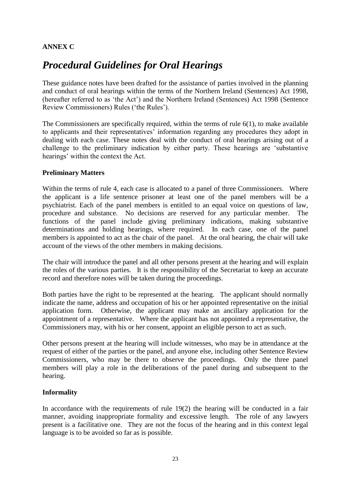#### **ANNEX C**

# *Procedural Guidelines for Oral Hearings*

These guidance notes have been drafted for the assistance of parties involved in the planning and conduct of oral hearings within the terms of the Northern Ireland (Sentences) Act 1998, (hereafter referred to as 'the Act') and the Northern Ireland (Sentences) Act 1998 (Sentence Review Commissioners) Rules ('the Rules').

The Commissioners are specifically required, within the terms of rule 6(1), to make available to applicants and their representatives' information regarding any procedures they adopt in dealing with each case. These notes deal with the conduct of oral hearings arising out of a challenge to the preliminary indication by either party. These hearings are 'substantive hearings' within the context the Act.

#### **Preliminary Matters**

Within the terms of rule 4, each case is allocated to a panel of three Commissioners. Where the applicant is a life sentence prisoner at least one of the panel members will be a psychiatrist. Each of the panel members is entitled to an equal voice on questions of law, procedure and substance. No decisions are reserved for any particular member. The functions of the panel include giving preliminary indications, making substantive determinations and holding hearings, where required. In each case, one of the panel members is appointed to act as the chair of the panel. At the oral hearing, the chair will take account of the views of the other members in making decisions.

The chair will introduce the panel and all other persons present at the hearing and will explain the roles of the various parties. It is the responsibility of the Secretariat to keep an accurate record and therefore notes will be taken during the proceedings.

Both parties have the right to be represented at the hearing. The applicant should normally indicate the name, address and occupation of his or her appointed representative on the initial application form. Otherwise, the applicant may make an ancillary application for the appointment of a representative. Where the applicant has not appointed a representative, the Commissioners may, with his or her consent, appoint an eligible person to act as such.

Other persons present at the hearing will include witnesses, who may be in attendance at the request of either of the parties or the panel, and anyone else, including other Sentence Review Commissioners, who may be there to observe the proceedings. Only the three panel members will play a role in the deliberations of the panel during and subsequent to the hearing.

#### **Informality**

In accordance with the requirements of rule  $19(2)$  the hearing will be conducted in a fair manner, avoiding inappropriate formality and excessive length. The role of any lawyers present is a facilitative one. They are not the focus of the hearing and in this context legal language is to be avoided so far as is possible.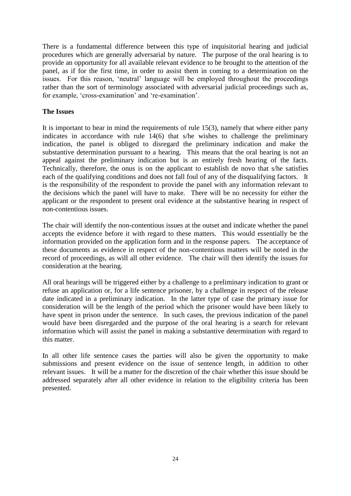There is a fundamental difference between this type of inquisitorial hearing and judicial procedures which are generally adversarial by nature. The purpose of the oral hearing is to provide an opportunity for all available relevant evidence to be brought to the attention of the panel, as if for the first time, in order to assist them in coming to a determination on the issues. For this reason, 'neutral' language will be employed throughout the proceedings rather than the sort of terminology associated with adversarial judicial proceedings such as, for example, 'cross-examination' and 're-examination'.

#### **The Issues**

It is important to bear in mind the requirements of rule  $15(3)$ , namely that where either party indicates in accordance with rule 14(6) that s/he wishes to challenge the preliminary indication, the panel is obliged to disregard the preliminary indication and make the substantive determination pursuant to a hearing. This means that the oral hearing is not an appeal against the preliminary indication but is an entirely fresh hearing of the facts. Technically, therefore, the onus is on the applicant to establish de novo that s/he satisfies each of the qualifying conditions and does not fall foul of any of the disqualifying factors. It is the responsibility of the respondent to provide the panel with any information relevant to the decisions which the panel will have to make. There will be no necessity for either the applicant or the respondent to present oral evidence at the substantive hearing in respect of non-contentious issues.

The chair will identify the non-contentious issues at the outset and indicate whether the panel accepts the evidence before it with regard to these matters. This would essentially be the information provided on the application form and in the response papers. The acceptance of these documents as evidence in respect of the non-contentious matters will be noted in the record of proceedings, as will all other evidence. The chair will then identify the issues for consideration at the hearing.

All oral hearings will be triggered either by a challenge to a preliminary indication to grant or refuse an application or, for a life sentence prisoner, by a challenge in respect of the release date indicated in a preliminary indication. In the latter type of case the primary issue for consideration will be the length of the period which the prisoner would have been likely to have spent in prison under the sentence. In such cases, the previous indication of the panel would have been disregarded and the purpose of the oral hearing is a search for relevant information which will assist the panel in making a substantive determination with regard to this matter.

In all other life sentence cases the parties will also be given the opportunity to make submissions and present evidence on the issue of sentence length, in addition to other relevant issues. It will be a matter for the discretion of the chair whether this issue should be addressed separately after all other evidence in relation to the eligibility criteria has been presented.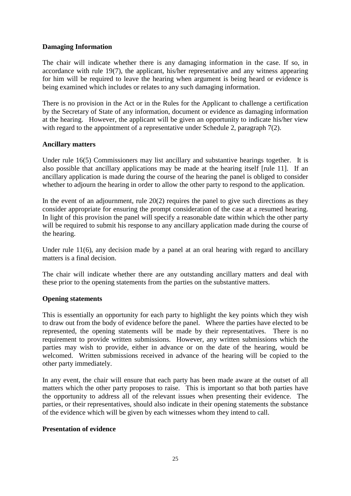#### **Damaging Information**

The chair will indicate whether there is any damaging information in the case. If so, in accordance with rule 19(7), the applicant, his/her representative and any witness appearing for him will be required to leave the hearing when argument is being heard or evidence is being examined which includes or relates to any such damaging information.

There is no provision in the Act or in the Rules for the Applicant to challenge a certification by the Secretary of State of any information, document or evidence as damaging information at the hearing. However, the applicant will be given an opportunity to indicate his/her view with regard to the appointment of a representative under Schedule 2, paragraph 7(2).

#### **Ancillary matters**

Under rule 16(5) Commissioners may list ancillary and substantive hearings together. It is also possible that ancillary applications may be made at the hearing itself [rule 11]. If an ancillary application is made during the course of the hearing the panel is obliged to consider whether to adjourn the hearing in order to allow the other party to respond to the application.

In the event of an adjournment, rule  $20(2)$  requires the panel to give such directions as they consider appropriate for ensuring the prompt consideration of the case at a resumed hearing. In light of this provision the panel will specify a reasonable date within which the other party will be required to submit his response to any ancillary application made during the course of the hearing.

Under rule 11(6), any decision made by a panel at an oral hearing with regard to ancillary matters is a final decision.

The chair will indicate whether there are any outstanding ancillary matters and deal with these prior to the opening statements from the parties on the substantive matters.

#### **Opening statements**

This is essentially an opportunity for each party to highlight the key points which they wish to draw out from the body of evidence before the panel. Where the parties have elected to be represented, the opening statements will be made by their representatives. There is no requirement to provide written submissions. However, any written submissions which the parties may wish to provide, either in advance or on the date of the hearing, would be welcomed. Written submissions received in advance of the hearing will be copied to the other party immediately.

In any event, the chair will ensure that each party has been made aware at the outset of all matters which the other party proposes to raise. This is important so that both parties have the opportunity to address all of the relevant issues when presenting their evidence. The parties, or their representatives, should also indicate in their opening statements the substance of the evidence which will be given by each witnesses whom they intend to call.

#### **Presentation of evidence**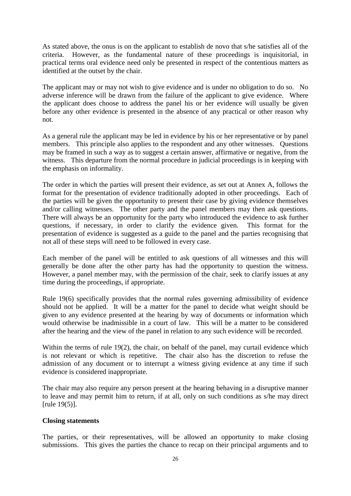As stated above, the onus is on the applicant to establish de novo that s/he satisfies all of the criteria. However, as the fundamental nature of these proceedings is inquisitorial, in practical terms oral evidence need only be presented in respect of the contentious matters as identified at the outset by the chair.

The applicant may or may not wish to give evidence and is under no obligation to do so. No adverse inference will be drawn from the failure of the applicant to give evidence. Where the applicant does choose to address the panel his or her evidence will usually be given before any other evidence is presented in the absence of any practical or other reason why not.

As a general rule the applicant may be led in evidence by his or her representative or by panel members. This principle also applies to the respondent and any other witnesses. Questions may be framed in such a way as to suggest a certain answer, affirmative or negative, from the witness. This departure from the normal procedure in judicial proceedings is in keeping with the emphasis on informality.

The order in which the parties will present their evidence, as set out at Annex A, follows the format for the presentation of evidence traditionally adopted in other proceedings. Each of the parties will be given the opportunity to present their case by giving evidence themselves and/or calling witnesses. The other party and the panel members may then ask questions. There will always be an opportunity for the party who introduced the evidence to ask further questions, if necessary, in order to clarify the evidence given. This format for the presentation of evidence is suggested as a guide to the panel and the parties recognising that not all of these steps will need to be followed in every case.

Each member of the panel will be entitled to ask questions of all witnesses and this will generally be done after the other party has had the opportunity to question the witness. However, a panel member may, with the permission of the chair, seek to clarify issues at any time during the proceedings, if appropriate.

Rule 19(6) specifically provides that the normal rules governing admissibility of evidence should not be applied. It will be a matter for the panel to decide what weight should be given to any evidence presented at the hearing by way of documents or information which would otherwise be inadmissible in a court of law. This will be a matter to be considered after the hearing and the view of the panel in relation to any such evidence will be recorded.

Within the terms of rule 19(2), the chair, on behalf of the panel, may curtail evidence which is not relevant or which is repetitive. The chair also has the discretion to refuse the admission of any document or to interrupt a witness giving evidence at any time if such evidence is considered inappropriate.

The chair may also require any person present at the hearing behaving in a disruptive manner to leave and may permit him to return, if at all, only on such conditions as s/he may direct [rule 19(5)].

#### **Closing statements**

The parties, or their representatives, will be allowed an opportunity to make closing submissions. This gives the parties the chance to recap on their principal arguments and to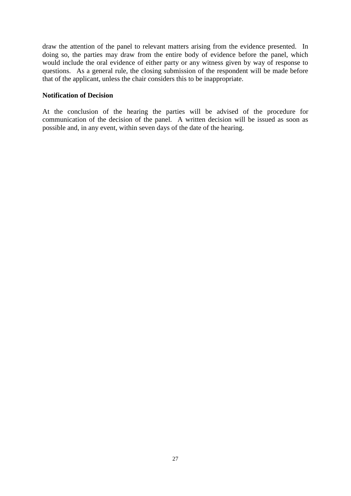draw the attention of the panel to relevant matters arising from the evidence presented. In doing so, the parties may draw from the entire body of evidence before the panel, which would include the oral evidence of either party or any witness given by way of response to questions. As a general rule, the closing submission of the respondent will be made before that of the applicant, unless the chair considers this to be inappropriate.

#### **Notification of Decision**

At the conclusion of the hearing the parties will be advised of the procedure for communication of the decision of the panel. A written decision will be issued as soon as possible and, in any event, within seven days of the date of the hearing.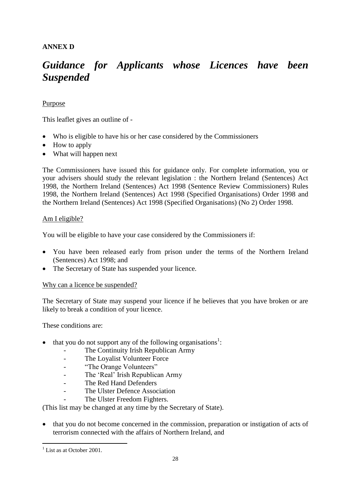#### **ANNEX D**

# *Guidance for Applicants whose Licences have been Suspended*

#### Purpose

This leaflet gives an outline of -

- Who is eligible to have his or her case considered by the Commissioners
- How to apply
- What will happen next

The Commissioners have issued this for guidance only. For complete information, you or your advisers should study the relevant legislation : the Northern Ireland (Sentences) Act 1998, the Northern Ireland (Sentences) Act 1998 (Sentence Review Commissioners) Rules 1998, the Northern Ireland (Sentences) Act 1998 (Specified Organisations) Order 1998 and the Northern Ireland (Sentences) Act 1998 (Specified Organisations) (No 2) Order 1998.

#### Am I eligible?

You will be eligible to have your case considered by the Commissioners if:

- You have been released early from prison under the terms of the Northern Ireland (Sentences) Act 1998; and
- The Secretary of State has suspended your licence.

#### Why can a licence be suspended?

The Secretary of State may suspend your licence if he believes that you have broken or are likely to break a condition of your licence.

These conditions are:

- $\bullet$  that you do not support any of the following organisations<sup>1</sup>:
	- The Continuity Irish Republican Army
	- The Loyalist Volunteer Force
	- "The Orange Volunteers"
	- The 'Real' Irish Republican Army
	- The Red Hand Defenders
	- The Ulster Defence Association
		- The Ulster Freedom Fighters.

(This list may be changed at any time by the Secretary of State).

• that you do not become concerned in the commission, preparation or instigation of acts of terrorism connected with the affairs of Northern Ireland, and

1

 $<sup>1</sup>$  List as at October 2001.</sup>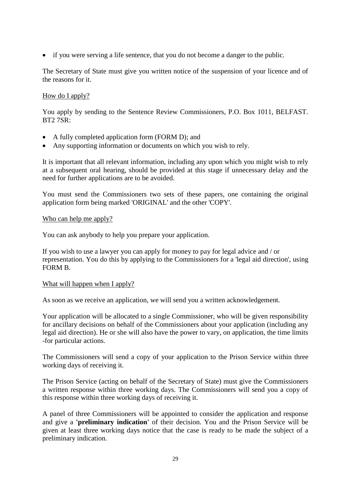if you were serving a life sentence, that you do not become a danger to the public.

The Secretary of State must give you written notice of the suspension of your licence and of the reasons for it.

#### How do I apply?

You apply by sending to the Sentence Review Commissioners, P.O. Box 1011, BELFAST. BT2 7SR:

- A fully completed application form (FORM D); and
- Any supporting information or documents on which you wish to rely.

It is important that all relevant information, including any upon which you might wish to rely at a subsequent oral hearing, should be provided at this stage if unnecessary delay and the need for further applications are to be avoided.

You must send the Commissioners two sets of these papers, one containing the original application form being marked 'ORIGINAL' and the other 'COPY'.

#### Who can help me apply?

You can ask anybody to help you prepare your application.

If you wish to use a lawyer you can apply for money to pay for legal advice and / or representation. You do this by applying to the Commissioners for a 'legal aid direction', using FORM B.

#### What will happen when I apply?

As soon as we receive an application, we will send you a written acknowledgement.

Your application will be allocated to a single Commissioner, who will be given responsibility for ancillary decisions on behalf of the Commissioners about your application (including any legal aid direction). He or she will also have the power to vary, on application, the time limits -for particular actions.

The Commissioners will send a copy of your application to the Prison Service within three working days of receiving it.

The Prison Service (acting on behalf of the Secretary of State) must give the Commissioners a written response within three working days. The Commissioners will send you a copy of this response within three working days of receiving it.

A panel of three Commissioners will be appointed to consider the application and response and give a **'preliminary indication'** of their decision. You and the Prison Service will be given at least three working days notice that the case is ready to be made the subject of a preliminary indication.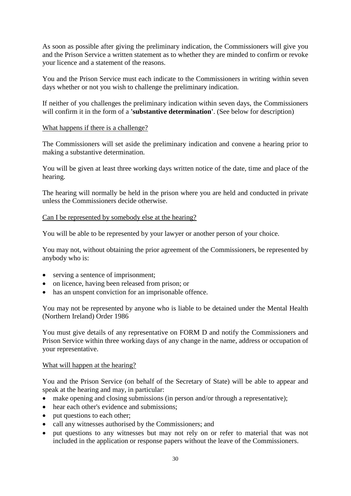As soon as possible after giving the preliminary indication, the Commissioners will give you and the Prison Service a written statement as to whether they are minded to confirm or revoke your licence and a statement of the reasons.

You and the Prison Service must each indicate to the Commissioners in writing within seven days whether or not you wish to challenge the preliminary indication.

If neither of you challenges the preliminary indication within seven days, the Commissioners will confirm it in the form of a **'substantive determination'**. (See below for description)

#### What happens if there is a challenge?

The Commissioners will set aside the preliminary indication and convene a hearing prior to making a substantive determination.

You will be given at least three working days written notice of the date, time and place of the hearing.

The hearing will normally be held in the prison where you are held and conducted in private unless the Commissioners decide otherwise.

#### Can I be represented by somebody else at the hearing?

You will be able to be represented by your lawyer or another person of your choice.

You may not, without obtaining the prior agreement of the Commissioners, be represented by anybody who is:

- serving a sentence of imprisonment;
- on licence, having been released from prison; or
- has an unspent conviction for an imprisonable offence.

You may not be represented by anyone who is liable to be detained under the Mental Health (Northern Ireland) Order 1986

You must give details of any representative on FORM D and notify the Commissioners and Prison Service within three working days of any change in the name, address or occupation of your representative.

#### What will happen at the hearing?

You and the Prison Service (on behalf of the Secretary of State) will be able to appear and speak at the hearing and may, in particular:

- make opening and closing submissions (in person and/or through a representative);
- hear each other's evidence and submissions;
- put questions to each other;
- call any witnesses authorised by the Commissioners; and
- put questions to any witnesses but may not rely on or refer to material that was not included in the application or response papers without the leave of the Commissioners.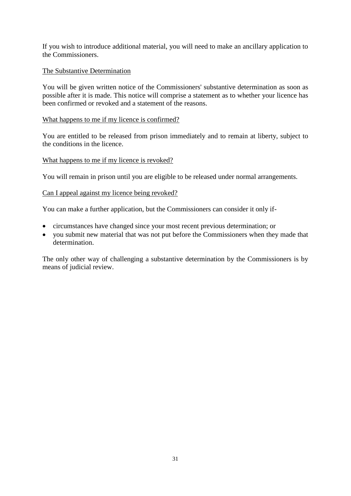If you wish to introduce additional material, you will need to make an ancillary application to the Commissioners.

#### The Substantive Determination

You will be given written notice of the Commissioners' substantive determination as soon as possible after it is made. This notice will comprise a statement as to whether your licence has been confirmed or revoked and a statement of the reasons.

#### What happens to me if my licence is confirmed?

You are entitled to be released from prison immediately and to remain at liberty, subject to the conditions in the licence.

#### What happens to me if my licence is revoked?

You will remain in prison until you are eligible to be released under normal arrangements.

#### Can I appeal against my licence being revoked?

You can make a further application, but the Commissioners can consider it only if-

- circumstances have changed since your most recent previous determination; or
- you submit new material that was not put before the Commissioners when they made that determination.

The only other way of challenging a substantive determination by the Commissioners is by means of judicial review.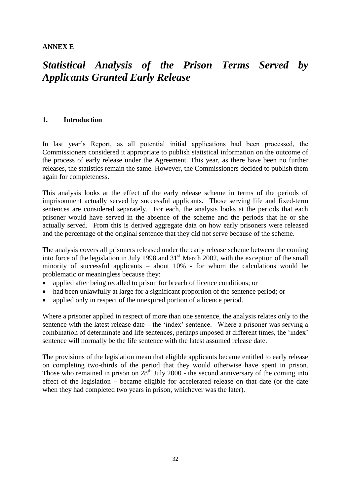**ANNEX E**

# *Statistical Analysis of the Prison Terms Served by Applicants Granted Early Release*

#### **1. Introduction**

In last year's Report, as all potential initial applications had been processed, the Commissioners considered it appropriate to publish statistical information on the outcome of the process of early release under the Agreement. This year, as there have been no further releases, the statistics remain the same. However, the Commissioners decided to publish them again for completeness.

This analysis looks at the effect of the early release scheme in terms of the periods of imprisonment actually served by successful applicants. Those serving life and fixed-term sentences are considered separately. For each, the analysis looks at the periods that each prisoner would have served in the absence of the scheme and the periods that he or she actually served. From this is derived aggregate data on how early prisoners were released and the percentage of the original sentence that they did not serve because of the scheme.

The analysis covers all prisoners released under the early release scheme between the coming into force of the legislation in July 1998 and 31<sup>st</sup> March 2002, with the exception of the small minority of successful applicants – about 10% - for whom the calculations would be problematic or meaningless because they:

- applied after being recalled to prison for breach of licence conditions; or
- had been unlawfully at large for a significant proportion of the sentence period; or
- applied only in respect of the unexpired portion of a licence period.

Where a prisoner applied in respect of more than one sentence, the analysis relates only to the sentence with the latest release date – the 'index' sentence. Where a prisoner was serving a combination of determinate and life sentences, perhaps imposed at different times, the 'index' sentence will normally be the life sentence with the latest assumed release date.

The provisions of the legislation mean that eligible applicants became entitled to early release on completing two-thirds of the period that they would otherwise have spent in prison. Those who remained in prison on  $28<sup>th</sup>$  July 2000 - the second anniversary of the coming into effect of the legislation – became eligible for accelerated release on that date (or the date when they had completed two years in prison, whichever was the later).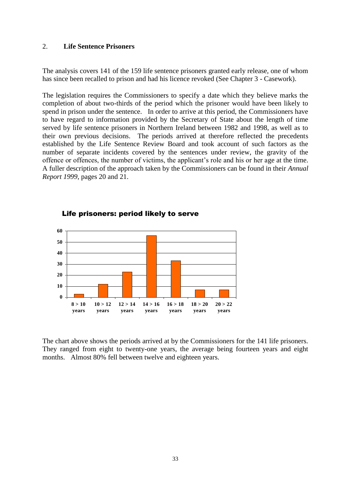#### 2. **Life Sentence Prisoners**

The analysis covers 141 of the 159 life sentence prisoners granted early release, one of whom has since been recalled to prison and had his licence revoked (See Chapter 3 - Casework).

The legislation requires the Commissioners to specify a date which they believe marks the completion of about two-thirds of the period which the prisoner would have been likely to spend in prison under the sentence. In order to arrive at this period, the Commissioners have to have regard to information provided by the Secretary of State about the length of time served by life sentence prisoners in Northern Ireland between 1982 and 1998, as well as to their own previous decisions. The periods arrived at therefore reflected the precedents established by the Life Sentence Review Board and took account of such factors as the number of separate incidents covered by the sentences under review, the gravity of the offence or offences, the number of victims, the applicant's role and his or her age at the time. A fuller description of the approach taken by the Commissioners can be found in their *Annual Report 1999*, pages 20 and 21.



#### Life prisoners: period likely to serve

The chart above shows the periods arrived at by the Commissioners for the 141 life prisoners. They ranged from eight to twenty-one years, the average being fourteen years and eight months. Almost 80% fell between twelve and eighteen years.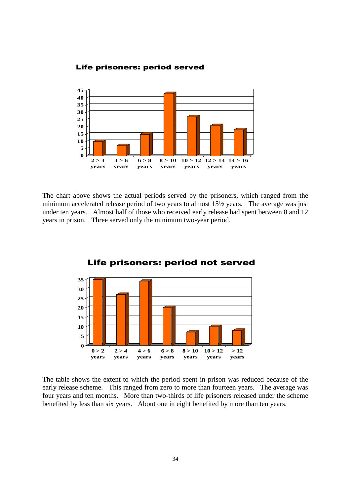

The chart above shows the actual periods served by the prisoners, which ranged from the minimum accelerated release period of two years to almost 15½ years. The average was just under ten years. Almost half of those who received early release had spent between 8 and 12 years in prison. Three served only the minimum two-year period.



#### Life prisoners: period not served

The table shows the extent to which the period spent in prison was reduced because of the early release scheme. This ranged from zero to more than fourteen years. The average was four years and ten months. More than two-thirds of life prisoners released under the scheme benefited by less than six years. About one in eight benefited by more than ten years.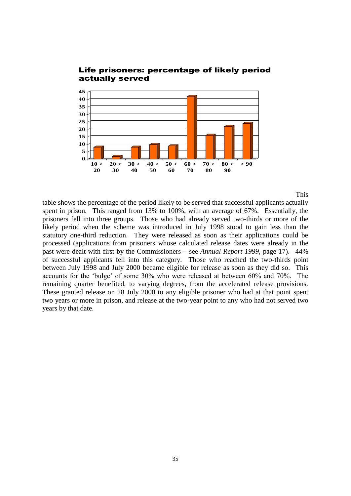

# actually served

This

35 Life prisoners: percentage of likely period table shows the percentage of the period likely to be served that successful applicants actually spent in prison. This ranged from 13% to 100%, with an average of 67%. Essentially, the prisoners fell into three groups. Those who had already served two-thirds or more of the likely period when the scheme was introduced in July 1998 stood to gain less than the statutory one-third reduction. They were released as soon as their applications could be processed (applications from prisoners whose calculated release dates were already in the past were dealt with first by the Commissioners – see *Annual Report 1999,* page 17). 44% of successful applicants fell into this category. Those who reached the two-thirds point between July 1998 and July 2000 became eligible for release as soon as they did so. This accounts for the 'bulge' of some 30% who were released at between 60% and 70%. The remaining quarter benefited, to varying degrees, from the accelerated release provisions. These granted release on 28 July 2000 to any eligible prisoner who had at that point spent two years or more in prison, and release at the two-year point to any who had not served two years by that date.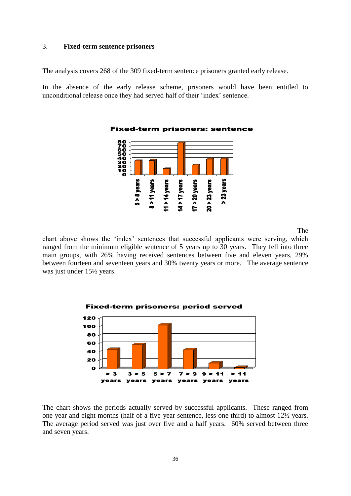#### 3. **Fixed-term sentence prisoners**

The analysis covers 268 of the 309 fixed-term sentence prisoners granted early release.

In the absence of the early release scheme, prisoners would have been entitled to unconditional release once they had served half of their 'index' sentence.



#### Fixed-term prisoners: sentence

The

chart above shows the 'index' sentences that successful applicants were serving, which ranged from the minimum eligible sentence of 5 years up to 30 years. They fell into three main groups, with 26% having received sentences between five and eleven years, 29% between fourteen and seventeen years and 30% twenty years or more. The average sentence was just under 15½ years.



The chart shows the periods actually served by successful applicants. These ranged from one year and eight months (half of a five-year sentence, less one third) to almost 12½ years. The average period served was just over five and a half years. 60% served between three and seven years.